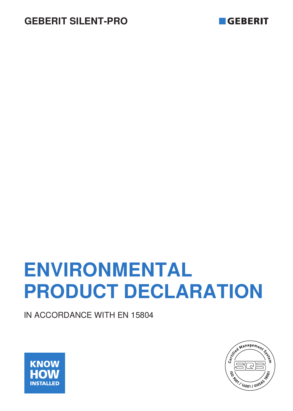



# **ENVIRONMENTAL PRODUCT DECLARATION**

IN ACCORDANCE WITH EN 15804



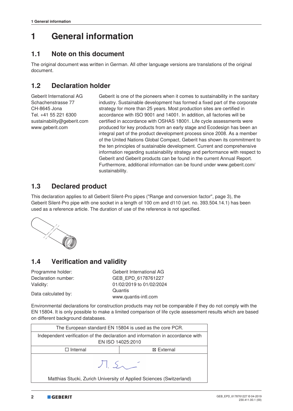### **1 General information**

#### **1.1 Note on this document**

The original document was written in German. All other language versions are translations of the original document.

### **1.2 Declaration holder**

Geberit International AG Schachenstrasse 77 CH-8645 Jona Tel. +41 55 221 6300 sustainability@geberit.com www.geberit.com

Geberit is one of the pioneers when it comes to sustainability in the sanitary industry. Sustainable development has formed a fixed part of the corporate strategy for more than 25 years. Most production sites are certified in accordance with ISO 9001 and 14001. In addition, all factories will be certified in accordance with OSHAS 18001. Life cycle assessments were produced for key products from an early stage and Ecodesign has been an integral part of the product development process since 2008. As a member of the United Nations Global Compact, Geberit has shown its commitment to the ten principles of sustainable development. Current and comprehensive information regarding sustainability strategy and performance with respect to Geberit and Geberit products can be found in the current Annual Report. Furthermore, additional information can be found under www.geberit.com/ sustainability.

#### **1.3 Declared product**

This declaration applies to all Geberit Silent-Pro pipes ("Range and conversion factor", page 3), the Geberit Silent-Pro pipe with one socket in a length of 100 cm and d110 (art. no. 393.504.14.1) has been used as a reference article. The duration of use of the reference is not specified.



### **1.4 Verification and validity**

| Programme holder:   | Geberit International AG |
|---------------------|--------------------------|
| Declaration number: | GEB EPD 6178761227       |
| Validity:           | 01/02/2019 to 01/02/2024 |
|                     | Quantis                  |
| Data calculated by: | www.quantis-intl.com     |

Environmental declarations for construction products may not be comparable if they do not comply with the EN 15804. It is only possible to make a limited comparison of life cycle assessment results which are based on different background databases.

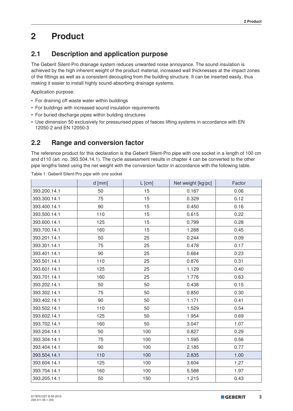## **2 Product**

### **2.1 Description and application purpose**

The Geberit Silent-Pro drainage system reduces unwanted noise annoyance. The sound insulation is achieved by the high inherent weight of the product material, increased wall thicknesses at the impact zones of the fittings as well as a consistent decoupling from the building structure. It can be inserted easily, thus making it easier to install highly sound-absorbing drainage systems.

Application purpose:

- For draining off waste water within buildings
- For buildings with increased sound insulation requirements
- For buried discharge pipes within building structures
- Use dimension 50 exclusively for pressurised pipes of faeces lifting systems in accordance with EN 12050-2 and EN 12050-3

### **2.2 Range and conversion factor**

The reference product for this declaration is the Geberit Silent-Pro pipe with one socket in a length of 100 cm and d110 (art. no. 393.504.14.1). The cycle assessment results in chapter 4 can be converted to the other pipe lengths listed using the net weight with the conversion factor in accordance with the following table.

|              | d [mm] | $L$ [cm] | Net weight [kg/pc] | Factor |
|--------------|--------|----------|--------------------|--------|
| 393.200.14.1 | 50     | 15       | 0.167              | 0.06   |
| 393.300.14.1 | 75     | 15       | 0.329              | 0.12   |
| 393.400.14.1 | 90     | 15       | 0.450              | 0.16   |
| 393.500.14.1 | 110    | 15       | 0.615              | 0.22   |
| 393.600.14.1 | 125    | 15       | 0.799              | 0.28   |
| 393.700.14.1 | 160    | 15       | 1.268              | 0.45   |
| 393.201.14.1 | 50     | 25       | 0.244              | 0.09   |
| 393.301.14.1 | 75     | 25       | 0.478              | 0.17   |
| 393.401.14.1 | 90     | 25       | 0.664              | 0.23   |
| 393.501.14.1 | 110    | 25       | 0.876              | 0.31   |
| 393.601.14.1 | 125    | 25       | 1.129              | 0.40   |
| 393.701.14.1 | 160    | 25       | 1.776              | 0.63   |
| 393.202.14.1 | 50     | 50       | 0.438              | 0.15   |
| 393.302.14.1 | 75     | 50       | 0.850              | 0.30   |
| 393.402.14.1 | 90     | 50       | 1.171              | 0.41   |
| 393.502.14.1 | 110    | 50       | 1.529              | 0.54   |
| 393.602.14.1 | 125    | 50       | 1.954              | 0.69   |
| 393.702.14.1 | 160    | 50       | 3.047              | 1.07   |
| 393.204.14.1 | 50     | 100      | 0.827              | 0.29   |
| 393.304.14.1 | 75     | 100      | 1.595              | 0.56   |
| 393.404.14.1 | 90     | 100      | 2.185              | 0.77   |
| 393.504.14.1 | 110    | 100      | 2.835              | 1.00   |
| 393.604.14.1 | 125    | 100      | 3.604              | 1.27   |
| 393.704.14.1 | 160    | 100      | 5.588              | 1.97   |
| 393.205.14.1 | 50     | 150      | 1.215              | 0.43   |

Table 1: Geberit Silent-Pro pipe with one socket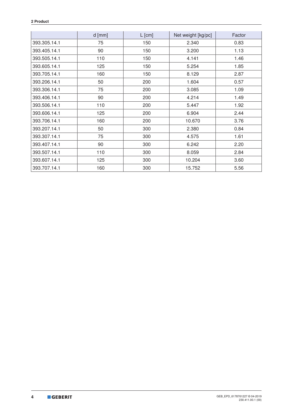#### **2 Product**

|              | $d$ [mm] | $L$ [cm]<br>Net weight [kg/pc] |        | Factor |
|--------------|----------|--------------------------------|--------|--------|
| 393.305.14.1 | 75       | 150                            | 2.340  | 0.83   |
| 393.405.14.1 | 90       | 150                            | 3.200  | 1.13   |
| 393.505.14.1 | 110      | 150                            | 4.141  | 1.46   |
| 393.605.14.1 | 125      | 150                            | 5.254  | 1.85   |
| 393.705.14.1 | 160      | 150                            | 8.129  | 2.87   |
| 393.206.14.1 | 50       | 200                            | 1.604  | 0.57   |
| 393.306.14.1 | 75       | 200                            | 3.085  | 1.09   |
| 393.406.14.1 | 90       | 200                            | 4.214  | 1.49   |
| 393.506.14.1 | 110      | 200                            | 5.447  | 1.92   |
| 393.606.14.1 | 125      | 200                            | 6.904  | 2.44   |
| 393.706.14.1 | 160      | 200                            | 10.670 | 3.76   |
| 393.207.14.1 | 50       | 300                            | 2.380  | 0.84   |
| 393.307.14.1 | 75       | 300                            | 4.575  | 1.61   |
| 393.407.14.1 | 90       | 300                            | 6.242  | 2.20   |
| 393.507.14.1 | 110      | 300                            | 8.059  | 2.84   |
| 393.607.14.1 | 125      | 300                            | 10.204 | 3.60   |
| 393.707.14.1 | 160      | 300                            | 15.752 | 5.56   |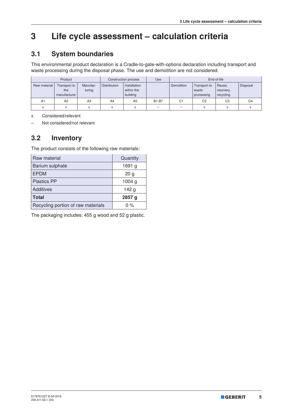### **3 Life cycle assessment – calculation criteria**

### **3.1 System boundaries**

This environmental product declaration is a Cradle-to-gate-with-options declaration including transport and waste processing during the disposal phase. The use and demolition are not considered.

| Product      |                                     |                    |                     | Construction process                   | Use          |                |                                     | End-of-life                      |                |
|--------------|-------------------------------------|--------------------|---------------------|----------------------------------------|--------------|----------------|-------------------------------------|----------------------------------|----------------|
| Raw material | Transport to<br>the<br>manufacturer | Manufac-<br>turing | <b>Distribution</b> | Installation<br>within the<br>building |              | Demolition     | Transport to<br>waste<br>processing | Reuse,<br>recovery,<br>recycling | Disposal       |
| A1           | A <sub>2</sub>                      | A3                 | A4                  | A <sub>5</sub>                         | <b>B1-B7</b> | C <sub>1</sub> | C <sub>2</sub>                      | C <sub>3</sub>                   | C <sub>4</sub> |
| $\checkmark$ | A                                   | ⋏                  | X                   |                                        | -            | -              | X                                   | $\checkmark$                     |                |

x Considered/relevant

– Not considered/not relevant

### **3.2 Inventory**

The product consists of the following raw materials:

| Raw material                       | Quantity          |
|------------------------------------|-------------------|
| Barium sulphate                    | 1691 g            |
| <b>EPDM</b>                        | 20 <sub>g</sub>   |
| <b>Plastics PP</b>                 | 1004 <sub>g</sub> |
| <b>Additives</b>                   | 142g              |
| <b>Total</b>                       | 2857 g            |
| Recycling portion of raw materials | $0\%$             |

The packaging includes: 455 g wood and 52 g plastic.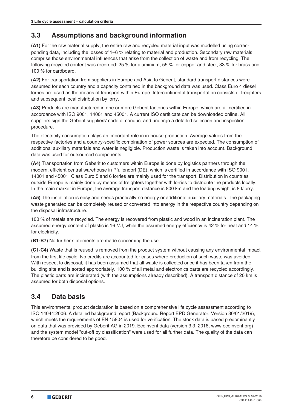### **3.3 Assumptions and background information**

**(A1)** For the raw material supply, the entire raw and recycled material input was modelled using corresponding data, including the losses of 1–6 % relating to material and production. Secondary raw materials comprise those environmental influences that arise from the collection of waste and from recycling. The following recycled content was recorded: 25 % for aluminium, 55 % for copper and steel, 33 % for brass and 100 % for cardboard.

**(A2)** For transportation from suppliers in Europe and Asia to Geberit, standard transport distances were assumed for each country and a capacity contained in the background data was used. Class Euro 4 diesel lorries are used as the means of transport within Europe. Intercontinental transportation consists of freighters and subsequent local distribution by lorry.

**(A3)** Products are manufactured in one or more Geberit factories within Europe, which are all certified in accordance with ISO 9001, 14001 and 45001. A current ISO certificate can be downloaded online. All suppliers sign the Geberit suppliers' code of conduct and undergo a detailed selection and inspection procedure.

The electricity consumption plays an important role in in-house production. Average values from the respective factories and a country-specific combination of power sources are expected. The consumption of additional auxiliary materials and water is negligible. Production waste is taken into account. Background data was used for outsourced components.

**(A4)** Transportation from Geberit to customers within Europe is done by logistics partners through the modern, efficient central warehouse in Pfullendorf (DE), which is certified in accordance with ISO 9001, 14001 and 45001. Class Euro 5 and 6 lorries are mainly used for the transport. Distribution in countries outside Europe is mainly done by means of freighters together with lorries to distribute the products locally. In the main market in Europe, the average transport distance is 800 km and the loading weight is 8 t/lorry.

**(A5)** The installation is easy and needs practically no energy or additional auxiliary materials. The packaging waste generated can be completely reused or converted into energy in the respective country depending on the disposal infrastructure.

100 % of metals are recycled. The energy is recovered from plastic and wood in an incineration plant. The assumed energy content of plastic is 16 MJ, while the assumed energy efficiency is 42 % for heat and 14 % for electricity.

**(B1-B7)** No further statements are made concerning the use.

**(C1-C4)** Waste that is reused is removed from the product system without causing any environmental impact from the first life cycle. No credits are accounted for cases where production of such waste was avoided. With respect to disposal, it has been assumed that all waste is collected once it has been taken from the building site and is sorted appropriately. 100 % of all metal and electronics parts are recycled accordingly. The plastic parts are incinerated (with the assumptions already described). A transport distance of 20 km is assumed for both disposal options.

### **3.4 Data basis**

This environmental product declaration is based on a comprehensive life cycle assessment according to ISO 14044:2006. A detailed background report (Background Report EPD Generator, Version 30/01/2019), which meets the requirements of EN 15804 is used for verification. The stock data is based predominantly on data that was provided by Geberit AG in 2019. Ecoinvent data (version 3.3, 2016, www.ecoinvent.org) and the system model "cut-off by classification" were used for all further data. The quality of the data can therefore be considered to be good.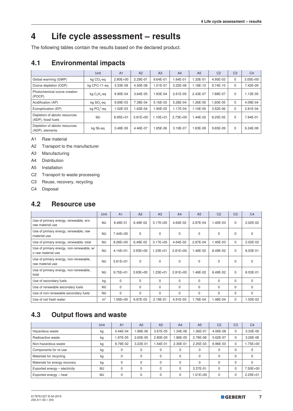### **4 Life cycle assessment – results**

The following tables contain the results based on the declared product.

### **4.1 Environmental impacts**

|                                                       | Unit                   | A <sub>1</sub> | A2           | A <sub>3</sub> | A <sub>4</sub> | A <sub>5</sub> | C <sub>2</sub> | C <sub>3</sub> | C <sub>4</sub> |
|-------------------------------------------------------|------------------------|----------------|--------------|----------------|----------------|----------------|----------------|----------------|----------------|
| Global warming (GWP)                                  | kg CO <sub>2</sub> -eq | $2.80E + 00$   | 2.29E-01     | 9.64E-01       | $.64E-01$      | 1.33E-01       | 4.95E-03       | 0              | $3.00E + 00$   |
| Ozone depletion (ODP)                                 | kg CFC-11-eg           | 3.33E-08       | 4.50E-08     | 1.01E-07       | 3.22E-08       | 1.18E-10       | 9.74E-10       | $\Omega$       | 7.42E-09       |
| Photochemical ozone creation<br>(POCP)                | kg $C_2H_4$ -eq        | 9.90E-04       | 3.64E-05     | 1.83E-04       | $2.61E - 0.5$  | 2.43E-07       | 7.88E-07       | $\Omega$       | 1.13E-05       |
| Acidification (AP)                                    | kg SO <sub>2</sub> -eq | 9.69E-03       | 7.38E-04     | 5.16E-03       | 5.28E-04       | 1.26E-05       | 1.60E-05       | $\Omega$       | 4.09E-04       |
| Eutrophication (EP)                                   | $kq PO43$ -eq          | 1.52E-03       | 1.63E-04     | 1.90E-03       | 1.17E-04       | 1.10E-05       | 3.52E-06       | $\mathbf 0$    | 2.81E-04       |
| Depletion of abiotic resources<br>(ADP), fossil fuels | MJ                     | $8.95E + 01$   | $3.81E + 00$ | $1.10E + 01$   | $2.73E + 00$   | 1.44E-02       | 8.25E-02       | $\Omega$       | 7.84E-01       |
| Depletion of abiotic resources<br>(ADP), elements     | kg Sb-eg               | 3.48E-06       | 4.46E-07     | 1.85E-06       | 3.19E-07       | 1.63E-09       | 9.65E-09       | $\Omega$       | 6.24E-08       |

A1 Raw material

A2 Transport to the manufacturer

A3 Manufacturing

A4 Distribution

A5 Installation

C2 Transport to waste processing

C3 Reuse, recovery, recycling

C4 Disposal

#### **4.2 Resource use**

|                                                                | Unit           | A <sub>1</sub> | A2           | A3           | A <sub>4</sub> | A <sub>5</sub> | C <sub>2</sub> | C <sub>3</sub> | C <sub>4</sub> |
|----------------------------------------------------------------|----------------|----------------|--------------|--------------|----------------|----------------|----------------|----------------|----------------|
| Use of primary energy, renewable, w/o<br>raw material use      | <b>MJ</b>      | 8.46E-01       | 6.49E-02     | $3.17E + 00$ | 4.64E-02       | 2.87E-04       | 1.40E-03       | $\Omega$       | $2.02E - 02$   |
| Use of primary energy, renewable, raw<br>material use          | <b>MJ</b>      | $7.44E + 00$   | $\Omega$     | $\Omega$     | $\Omega$       | $\Omega$       | $\Omega$       | $\Omega$       | $\Omega$       |
| Use of primary energy, renewable, total                        | <b>MJ</b>      | 8.28E+00       | 6.49E-02     | $3.17E + 00$ | 4.64E-02       | 2.87E-04       | 1.40E-03       | 0              | 2.02E-02       |
| Use of primary energy, non-renewable, w/<br>o raw material use | MJ             | $4.14E + 01$   | $3.93E + 00$ | $1.23E + 01$ | $2.81E + 00$   | 1.46E-02       | 8.49E-02       | $\Omega$       | 8.03E-01       |
| Use of primary energy, non-renewable,<br>raw material use      | <b>MJ</b>      | $5.61E + 01$   | $\Omega$     | $\Omega$     | 0              | $\mathbf 0$    | $\Omega$       | $\mathbf 0$    | $\mathbf 0$    |
| Use of primary energy, non-renewable,<br>total                 | <b>MJ</b>      | $9.75E + 01$   | $3.93E + 00$ | $1.23E + 01$ | $2.81E+00$     | 1.46E-02       | 8.49E-02       | $\Omega$       | 8.03E-01       |
| Use of secondary fuels                                         | kg             | $\Omega$       | $\Omega$     | $\Omega$     | $\Omega$       | $\Omega$       | $\Omega$       | $\Omega$       | $\Omega$       |
| Use of renewable secondary fuels                               | <b>MJ</b>      | $\Omega$       | $\Omega$     | $\Omega$     | 0              | $\mathbf 0$    | $\Omega$       | $\Omega$       | 0              |
| Use of non-renewable secondary fuels                           | <b>MJ</b>      | $\Omega$       | $\Omega$     | $\Omega$     | $\Omega$       | $\Omega$       | $\Omega$       | $\Omega$       | $\Omega$       |
| Use of net fresh water                                         | m <sup>3</sup> | 1.59E+00       | 6.87E-03     | 2.19E-01     | 4.91E-03       | 1.76E-04       | 1.48E-04       | $\mathbf 0$    | 1.55E-02       |

### **4.3 Output flows and waste**

|                               | Unit      | A <sub>1</sub> | A2       | A <sub>3</sub> | A <sub>4</sub> | A <sub>5</sub> | C <sub>2</sub> | C <sub>3</sub> | C <sub>4</sub> |
|-------------------------------|-----------|----------------|----------|----------------|----------------|----------------|----------------|----------------|----------------|
| Hazardous waste               | kg        | 4.44E-04       | 1.88E-06 | 3.67E-05       | $.34E-06$      | 1.36E-07       | 4.06E-08       | $\Omega$       | 3.33E-06       |
| Radioactive waste             | kg        | $.87E - 05$    | 2.60E-05 | 2.80E-05       | .86E-05        | 2.78E-08       | 5.62E-07       | $\Omega$       | 3.26E-06       |
| Non-hazardous waste           | kg        | 8.79E-02       | 3.22E-01 | $.54E - 01$    | 2.30E-01       | 2.25E-03       | 6.96E-03       | $\Omega$       | .75E+00        |
| Components for re-use         | kg        |                | 0        | 0              | 0              | $\Omega$       |                | $\Omega$       | 0              |
| Materials for recycling       | kg        |                | $\Omega$ | 0              | $\Omega$       | $\Omega$       |                | $\Omega$       | 0              |
| Materials for energy recovery | kg        |                | $\Omega$ | 0              | $\Omega$       | $\Omega$       |                | $\Omega$       | $\Omega$       |
| Exported energy - electricity | <b>MJ</b> |                | $\Omega$ | 0              | $\Omega$       | 3.37E-01       |                | $\Omega$       | 7.50E+00       |
| Exported energy - heat        | <b>MJ</b> |                | $\Omega$ | $\Omega$       | $\Omega$       | $1.01E + 00$   | 0              | $\Omega$       | $2.25E + 01$   |